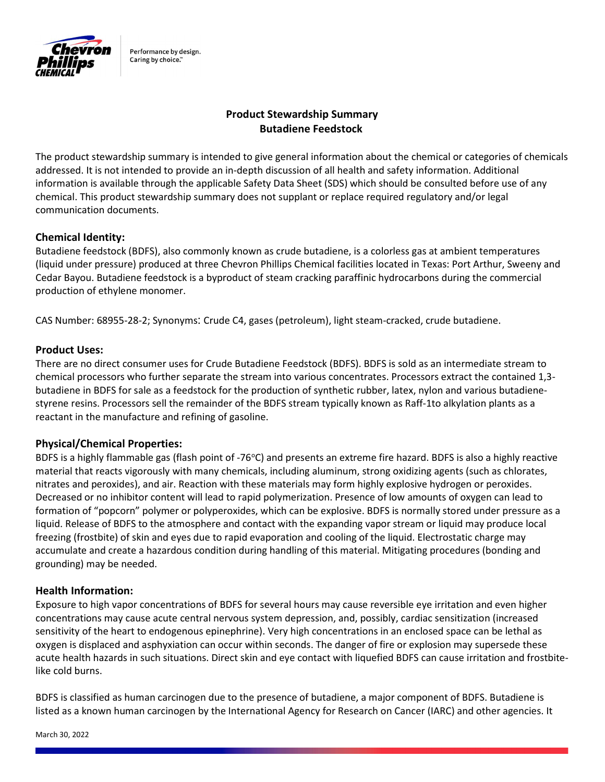

Performance by design. Caring by choice."

# Product Stewardship Summary Butadiene Feedstock

The product stewardship summary is intended to give general information about the chemical or categories of chemicals addressed. It is not intended to provide an in-depth discussion of all health and safety information. Additional information is available through the applicable Safety Data Sheet (SDS) which should be consulted before use of any chemical. This product stewardship summary does not supplant or replace required regulatory and/or legal communication documents.

# Chemical Identity:

Butadiene feedstock (BDFS), also commonly known as crude butadiene, is a colorless gas at ambient temperatures (liquid under pressure) produced at three Chevron Phillips Chemical facilities located in Texas: Port Arthur, Sweeny and Cedar Bayou. Butadiene feedstock is a byproduct of steam cracking paraffinic hydrocarbons during the commercial production of ethylene monomer.

CAS Number: 68955-28-2; Synonyms: Crude C4, gases (petroleum), light steam-cracked, crude butadiene.

### Product Uses:

There are no direct consumer uses for Crude Butadiene Feedstock (BDFS). BDFS is sold as an intermediate stream to chemical processors who further separate the stream into various concentrates. Processors extract the contained 1,3 butadiene in BDFS for sale as a feedstock for the production of synthetic rubber, latex, nylon and various butadienestyrene resins. Processors sell the remainder of the BDFS stream typically known as Raff-1to alkylation plants as a reactant in the manufacture and refining of gasoline.

# Physical/Chemical Properties:

BDFS is a highly flammable gas (flash point of -76 $\degree$ C) and presents an extreme fire hazard. BDFS is also a highly reactive material that reacts vigorously with many chemicals, including aluminum, strong oxidizing agents (such as chlorates, nitrates and peroxides), and air. Reaction with these materials may form highly explosive hydrogen or peroxides. Decreased or no inhibitor content will lead to rapid polymerization. Presence of low amounts of oxygen can lead to formation of "popcorn" polymer or polyperoxides, which can be explosive. BDFS is normally stored under pressure as a liquid. Release of BDFS to the atmosphere and contact with the expanding vapor stream or liquid may produce local freezing (frostbite) of skin and eyes due to rapid evaporation and cooling of the liquid. Electrostatic charge may accumulate and create a hazardous condition during handling of this material. Mitigating procedures (bonding and grounding) may be needed.

#### Health Information:

Exposure to high vapor concentrations of BDFS for several hours may cause reversible eye irritation and even higher concentrations may cause acute central nervous system depression, and, possibly, cardiac sensitization (increased sensitivity of the heart to endogenous epinephrine). Very high concentrations in an enclosed space can be lethal as oxygen is displaced and asphyxiation can occur within seconds. The danger of fire or explosion may supersede these acute health hazards in such situations. Direct skin and eye contact with liquefied BDFS can cause irritation and frostbitelike cold burns.

BDFS is classified as human carcinogen due to the presence of butadiene, a major component of BDFS. Butadiene is listed as a known human carcinogen by the International Agency for Research on Cancer (IARC) and other agencies. It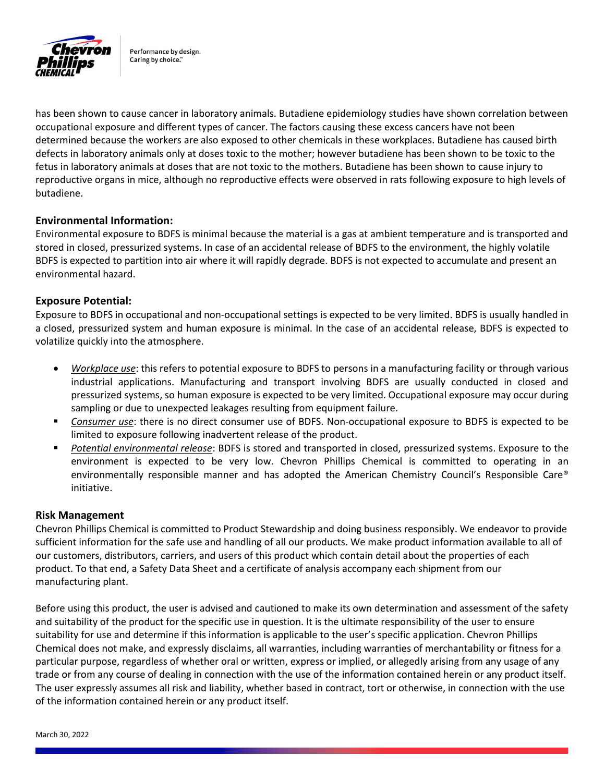

Performance by design. Caring by choice."

has been shown to cause cancer in laboratory animals. Butadiene epidemiology studies have shown correlation between occupational exposure and different types of cancer. The factors causing these excess cancers have not been determined because the workers are also exposed to other chemicals in these workplaces. Butadiene has caused birth defects in laboratory animals only at doses toxic to the mother; however butadiene has been shown to be toxic to the fetus in laboratory animals at doses that are not toxic to the mothers. Butadiene has been shown to cause injury to reproductive organs in mice, although no reproductive effects were observed in rats following exposure to high levels of butadiene.

### Environmental Information:

Environmental exposure to BDFS is minimal because the material is a gas at ambient temperature and is transported and stored in closed, pressurized systems. In case of an accidental release of BDFS to the environment, the highly volatile BDFS is expected to partition into air where it will rapidly degrade. BDFS is not expected to accumulate and present an environmental hazard.

#### Exposure Potential:

Exposure to BDFS in occupational and non-occupational settings is expected to be very limited. BDFS is usually handled in a closed, pressurized system and human exposure is minimal. In the case of an accidental release, BDFS is expected to volatilize quickly into the atmosphere.

- Workplace use: this refers to potential exposure to BDFS to persons in a manufacturing facility or through various industrial applications. Manufacturing and transport involving BDFS are usually conducted in closed and pressurized systems, so human exposure is expected to be very limited. Occupational exposure may occur during sampling or due to unexpected leakages resulting from equipment failure.
- **Consumer use:** there is no direct consumer use of BDFS. Non-occupational exposure to BDFS is expected to be limited to exposure following inadvertent release of the product.
- Potential environmental release: BDFS is stored and transported in closed, pressurized systems. Exposure to the environment is expected to be very low. Chevron Phillips Chemical is committed to operating in an environmentally responsible manner and has adopted the American Chemistry Council's Responsible Care® initiative.

#### Risk Management

Chevron Phillips Chemical is committed to Product Stewardship and doing business responsibly. We endeavor to provide sufficient information for the safe use and handling of all our products. We make product information available to all of our customers, distributors, carriers, and users of this product which contain detail about the properties of each product. To that end, a Safety Data Sheet and a certificate of analysis accompany each shipment from our manufacturing plant.

Before using this product, the user is advised and cautioned to make its own determination and assessment of the safety and suitability of the product for the specific use in question. It is the ultimate responsibility of the user to ensure suitability for use and determine if this information is applicable to the user's specific application. Chevron Phillips Chemical does not make, and expressly disclaims, all warranties, including warranties of merchantability or fitness for a particular purpose, regardless of whether oral or written, express or implied, or allegedly arising from any usage of any trade or from any course of dealing in connection with the use of the information contained herein or any product itself. The user expressly assumes all risk and liability, whether based in contract, tort or otherwise, in connection with the use of the information contained herein or any product itself.